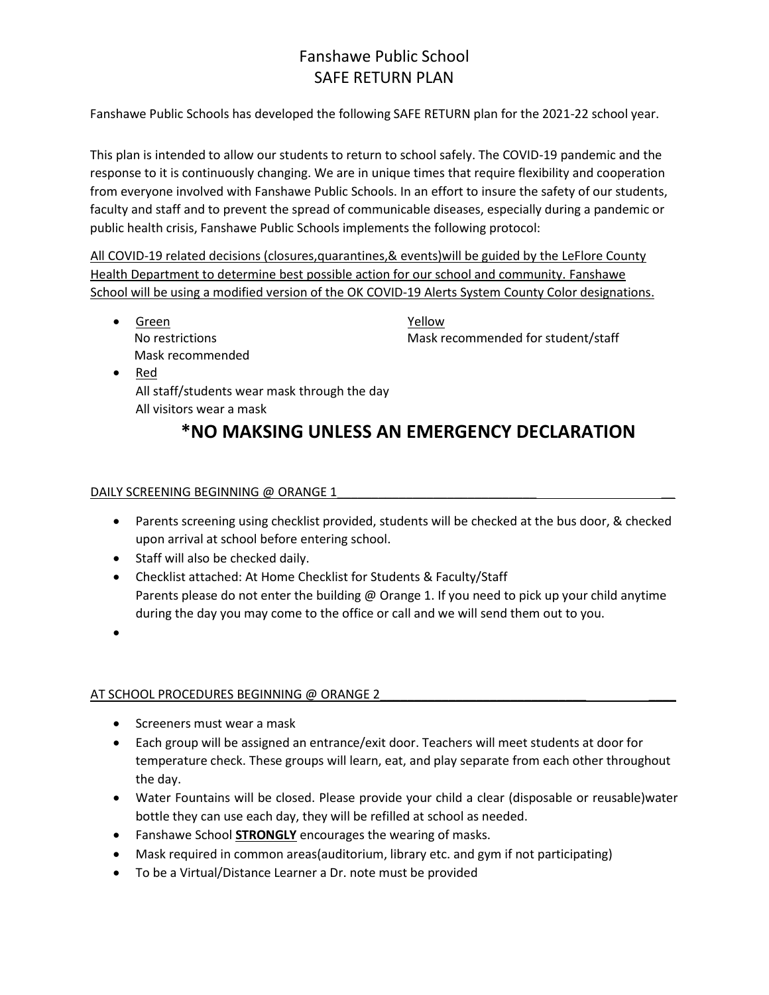## Fanshawe Public School SAFE RETURN PLAN

Fanshawe Public Schools has developed the following SAFE RETURN plan for the 2021-22 school year.

This plan is intended to allow our students to return to school safely. The COVID-19 pandemic and the response to it is continuously changing. We are in unique times that require flexibility and cooperation from everyone involved with Fanshawe Public Schools. In an effort to insure the safety of our students, faculty and staff and to prevent the spread of communicable diseases, especially during a pandemic or public health crisis, Fanshawe Public Schools implements the following protocol:

All COVID-19 related decisions (closures,quarantines,& events)will be guided by the LeFlore County Health Department to determine best possible action for our school and community. Fanshawe School will be using a modified version of the OK COVID-19 Alerts System County Color designations.

• Green Yellow Mask recommended

No restrictions **Mask recommended for student/staff** 

• Red All staff/students wear mask through the day All visitors wear a mask

# **\*NO MAKSING UNLESS AN EMERGENCY DECLARATION**

#### DAILY SCREENING BEGINNING @ ORANGE 1

- Parents screening using checklist provided, students will be checked at the bus door, & checked upon arrival at school before entering school.
- Staff will also be checked daily.
- Checklist attached: At Home Checklist for Students & Faculty/Staff Parents please do not enter the building @ Orange 1. If you need to pick up your child anytime during the day you may come to the office or call and we will send them out to you.
- $\bullet$

#### AT SCHOOL PROCEDURES BEGINNING @ ORANGE 2

- Screeners must wear a mask
- Each group will be assigned an entrance/exit door. Teachers will meet students at door for temperature check. These groups will learn, eat, and play separate from each other throughout the day.
- Water Fountains will be closed. Please provide your child a clear (disposable or reusable)water bottle they can use each day, they will be refilled at school as needed.
- Fanshawe School **STRONGLY** encourages the wearing of masks.
- Mask required in common areas(auditorium, library etc. and gym if not participating)
- To be a Virtual/Distance Learner a Dr. note must be provided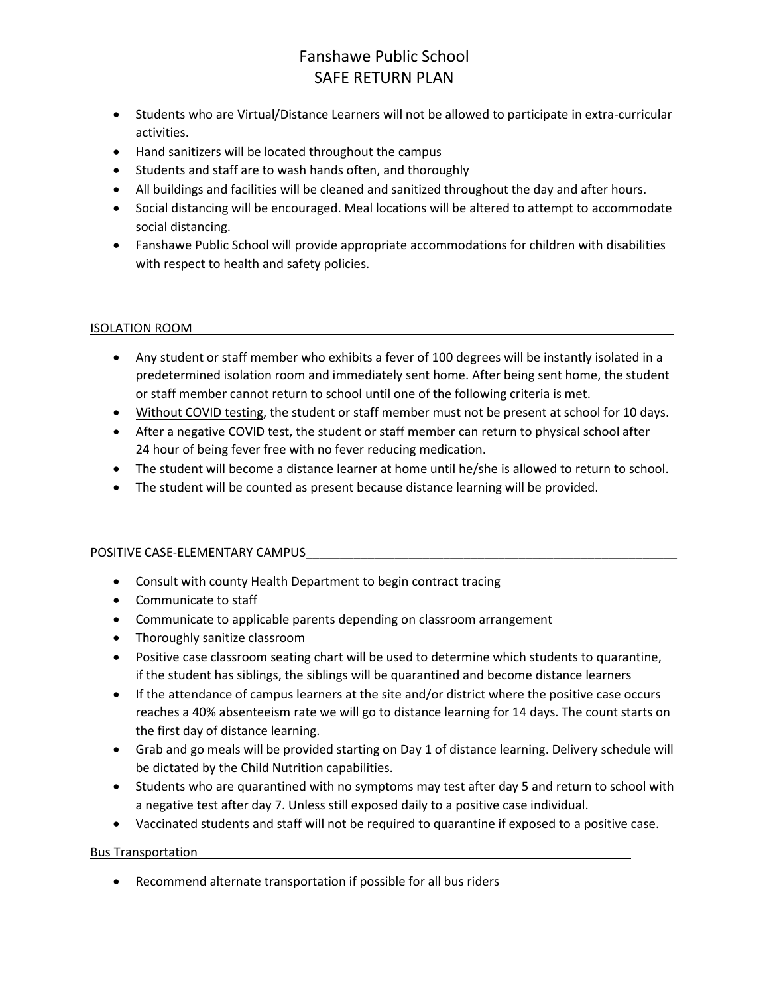## Fanshawe Public School SAFE RETURN PLAN

- Students who are Virtual/Distance Learners will not be allowed to participate in extra-curricular activities.
- Hand sanitizers will be located throughout the campus
- Students and staff are to wash hands often, and thoroughly
- All buildings and facilities will be cleaned and sanitized throughout the day and after hours.
- Social distancing will be encouraged. Meal locations will be altered to attempt to accommodate social distancing.
- Fanshawe Public School will provide appropriate accommodations for children with disabilities with respect to health and safety policies.

#### ISOLATION ROOM\_\_\_\_\_\_\_\_\_\_\_\_\_\_\_\_\_\_\_\_\_\_\_\_\_\_\_\_\_\_\_\_\_\_\_\_\_\_\_\_\_\_\_\_\_\_\_\_\_\_\_\_\_\_\_\_\_\_\_\_\_\_\_\_\_\_\_\_\_\_

- Any student or staff member who exhibits a fever of 100 degrees will be instantly isolated in a predetermined isolation room and immediately sent home. After being sent home, the student or staff member cannot return to school until one of the following criteria is met.
- Without COVID testing, the student or staff member must not be present at school for 10 days.
- After a negative COVID test, the student or staff member can return to physical school after 24 hour of being fever free with no fever reducing medication.
- The student will become a distance learner at home until he/she is allowed to return to school.
- The student will be counted as present because distance learning will be provided.

#### POSITIVE CASE-ELEMENTARY CAMPUS

- Consult with county Health Department to begin contract tracing
- Communicate to staff
- Communicate to applicable parents depending on classroom arrangement
- Thoroughly sanitize classroom
- Positive case classroom seating chart will be used to determine which students to quarantine, if the student has siblings, the siblings will be quarantined and become distance learners
- If the attendance of campus learners at the site and/or district where the positive case occurs reaches a 40% absenteeism rate we will go to distance learning for 14 days. The count starts on the first day of distance learning.
- Grab and go meals will be provided starting on Day 1 of distance learning. Delivery schedule will be dictated by the Child Nutrition capabilities.
- Students who are quarantined with no symptoms may test after day 5 and return to school with a negative test after day 7. Unless still exposed daily to a positive case individual.
- Vaccinated students and staff will not be required to quarantine if exposed to a positive case.

#### Bus Transportation

Recommend alternate transportation if possible for all bus riders